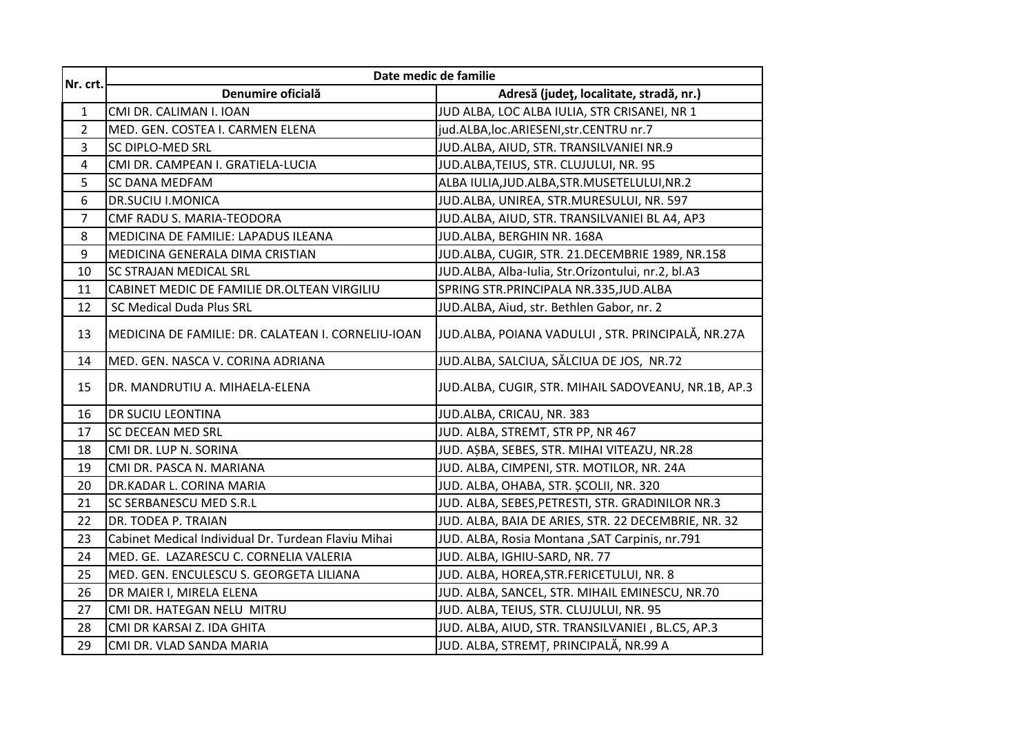| Nr. crt.       | Date medic de familie                               |                                                     |
|----------------|-----------------------------------------------------|-----------------------------------------------------|
|                | Denumire oficială                                   | Adresă (județ, localitate, stradă, nr.)             |
| $\mathbf{1}$   | CMI DR. CALIMAN I. IOAN                             | JUD ALBA, LOC ALBA IULIA, STR CRISANEI, NR 1        |
| $\overline{2}$ | MED. GEN. COSTEA I. CARMEN ELENA                    | jud.ALBA, loc.ARIESENI, str.CENTRU nr.7             |
| 3              | <b>SC DIPLO-MED SRL</b>                             | JUD.ALBA, AIUD, STR. TRANSILVANIEI NR.9             |
| 4              | CMI DR. CAMPEAN I. GRATIELA-LUCIA                   | JUD.ALBA, TEIUS, STR. CLUJULUI, NR. 95              |
| 5              | <b>SC DANA MEDFAM</b>                               | ALBA IULIA, JUD. ALBA, STR. MUSETELULUI, NR. 2      |
| 6              | <b>DR.SUCIU I.MONICA</b>                            | JUD.ALBA, UNIREA, STR.MURESULUI, NR. 597            |
| $\overline{7}$ | CMF RADU S. MARIA-TEODORA                           | JUD.ALBA, AIUD, STR. TRANSILVANIEI BL A4, AP3       |
| 8              | MEDICINA DE FAMILIE: LAPADUS ILEANA                 | JUD.ALBA, BERGHIN NR. 168A                          |
| 9              | MEDICINA GENERALA DIMA CRISTIAN                     | JUD.ALBA, CUGIR, STR. 21.DECEMBRIE 1989, NR.158     |
| 10             | SC STRAJAN MEDICAL SRL                              | JUD.ALBA, Alba-Iulia, Str.Orizontului, nr.2, bl.A3  |
| 11             | CABINET MEDIC DE FAMILIE DR.OLTEAN VIRGILIU         | SPRING STR.PRINCIPALA NR.335, JUD.ALBA              |
| 12             | SC Medical Duda Plus SRL                            | JUD.ALBA, Aiud, str. Bethlen Gabor, nr. 2           |
| 13             | MEDICINA DE FAMILIE: DR. CALATEAN I. CORNELIU-IOAN  | JUD.ALBA, POIANA VADULUI, STR. PRINCIPALĂ, NR.27A   |
| 14             | MED. GEN. NASCA V. CORINA ADRIANA                   | JUD.ALBA, SALCIUA, SĂLCIUA DE JOS, NR.72            |
| 15             | DR. MANDRUTIU A. MIHAELA-ELENA                      | JUD.ALBA, CUGIR, STR. MIHAIL SADOVEANU, NR.1B, AP.3 |
| 16             | DR SUCIU LEONTINA                                   | JUD.ALBA, CRICAU, NR. 383                           |
| 17             | <b>SC DECEAN MED SRL</b>                            | JUD. ALBA, STREMT, STR PP, NR 467                   |
| 18             | CMI DR. LUP N. SORINA                               | JUD. AȘBA, SEBES, STR. MIHAI VITEAZU, NR.28         |
| 19             | CMI DR. PASCA N. MARIANA                            | JUD. ALBA, CIMPENI, STR. MOTILOR, NR. 24A           |
| 20             | DR.KADAR L. CORINA MARIA                            | JUD. ALBA, OHABA, STR. ȘCOLII, NR. 320              |
| 21             | <b>SC SERBANESCU MED S.R.L</b>                      | JUD. ALBA, SEBES, PETRESTI, STR. GRADINILOR NR.3    |
| 22             | DR. TODEA P. TRAIAN                                 | JUD. ALBA, BAIA DE ARIES, STR. 22 DECEMBRIE, NR. 32 |
| 23             | Cabinet Medical Individual Dr. Turdean Flaviu Mihai | JUD. ALBA, Rosia Montana , SAT Carpinis, nr.791     |
| 24             | MED. GE. LAZARESCU C. CORNELIA VALERIA              | JUD. ALBA, IGHIU-SARD, NR. 77                       |
| 25             | MED. GEN. ENCULESCU S. GEORGETA LILIANA             | JUD. ALBA, HOREA, STR. FERICETULUI, NR. 8           |
| 26             | DR MAIER I, MIRELA ELENA                            | JUD. ALBA, SANCEL, STR. MIHAIL EMINESCU, NR.70      |
| 27             | CMI DR. HATEGAN NELU MITRU                          | JUD. ALBA, TEIUS, STR. CLUJULUI, NR. 95             |
| 28             | CMI DR KARSAI Z. IDA GHITA                          | JUD. ALBA, AIUD, STR. TRANSILVANIEI, BL.C5, AP.3    |
| 29             | CMI DR. VLAD SANDA MARIA                            | JUD. ALBA, STREMȚ, PRINCIPALĂ, NR.99 A              |